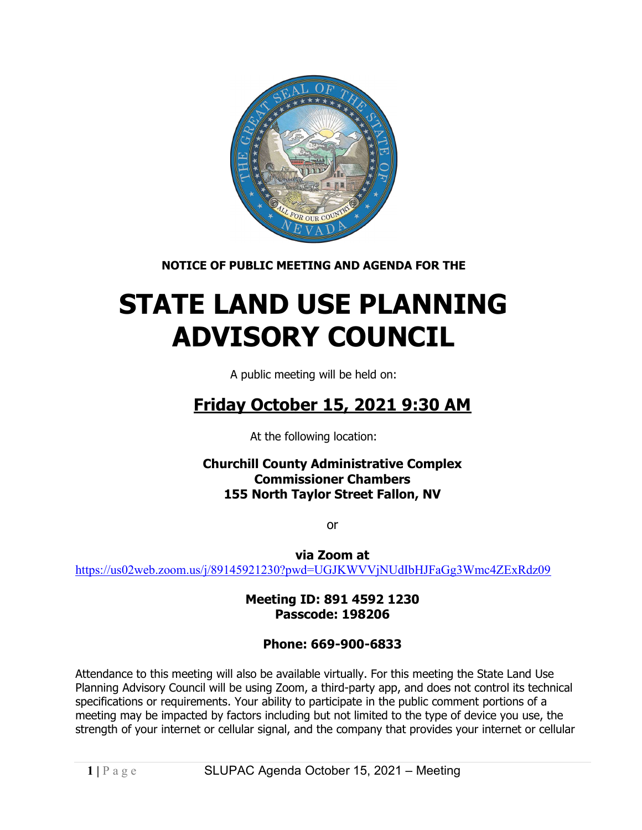

NOTICE OF PUBLIC MEETING AND AGENDA FOR THE

# STATE LAND USE PLANNING ADVISORY COUNCIL

A public meeting will be held on:

## Friday October 15, 2021 9:30 AM

At the following location:

Churchill County Administrative Complex Commissioner Chambers 155 North Taylor Street Fallon, NV

or

via Zoom at https://us02web.zoom.us/j/89145921230?pwd=UGJKWVVjNUdIbHJFaGg3Wmc4ZExRdz09

> Meeting ID: 891 4592 1230 Passcode: 198206

### Phone: 669-900-6833

Attendance to this meeting will also be available virtually. For this meeting the State Land Use Planning Advisory Council will be using Zoom, a third-party app, and does not control its technical specifications or requirements. Your ability to participate in the public comment portions of a meeting may be impacted by factors including but not limited to the type of device you use, the strength of your internet or cellular signal, and the company that provides your internet or cellular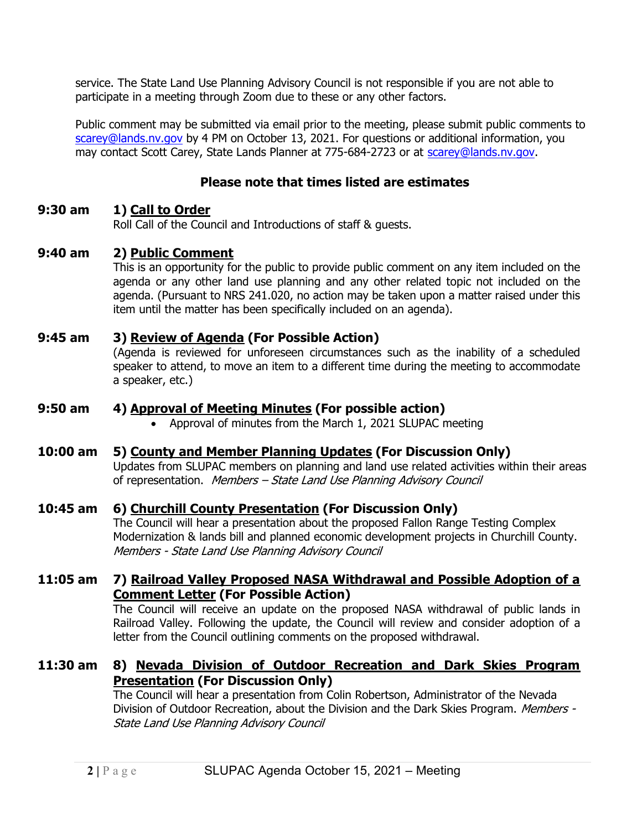service. The State Land Use Planning Advisory Council is not responsible if you are not able to participate in a meeting through Zoom due to these or any other factors.

Public comment may be submitted via email prior to the meeting, please submit public comments to scarey@lands.nv.gov by 4 PM on October 13, 2021. For questions or additional information, you may contact Scott Carey, State Lands Planner at 775-684-2723 or at scarey@lands.nv.gov.

#### Please note that times listed are estimates

#### 9:30 am 1) Call to Order

Roll Call of the Council and Introductions of staff & guests.

#### 9:40 am 2) Public Comment

This is an opportunity for the public to provide public comment on any item included on the agenda or any other land use planning and any other related topic not included on the agenda. (Pursuant to NRS 241.020, no action may be taken upon a matter raised under this item until the matter has been specifically included on an agenda).

#### 9:45 am 3) Review of Agenda (For Possible Action)

(Agenda is reviewed for unforeseen circumstances such as the inability of a scheduled speaker to attend, to move an item to a different time during the meeting to accommodate a speaker, etc.)

#### 9:50 am 4) Approval of Meeting Minutes (For possible action)

• Approval of minutes from the March 1, 2021 SLUPAC meeting

#### 10:00 am 5) County and Member Planning Updates (For Discussion Only)

Updates from SLUPAC members on planning and land use related activities within their areas of representation. Members – State Land Use Planning Advisory Council

#### 10:45 am 6) Churchill County Presentation (For Discussion Only)

The Council will hear a presentation about the proposed Fallon Range Testing Complex Modernization & lands bill and planned economic development projects in Churchill County. Members - State Land Use Planning Advisory Council

#### 11:05 am 7) Railroad Valley Proposed NASA Withdrawal and Possible Adoption of a Comment Letter (For Possible Action)

 The Council will receive an update on the proposed NASA withdrawal of public lands in Railroad Valley. Following the update, the Council will review and consider adoption of a letter from the Council outlining comments on the proposed withdrawal.

#### 11:30 am 8) Nevada Division of Outdoor Recreation and Dark Skies Program **Presentation (For Discussion Only)**

The Council will hear a presentation from Colin Robertson, Administrator of the Nevada Division of Outdoor Recreation, about the Division and the Dark Skies Program. Members -State Land Use Planning Advisory Council